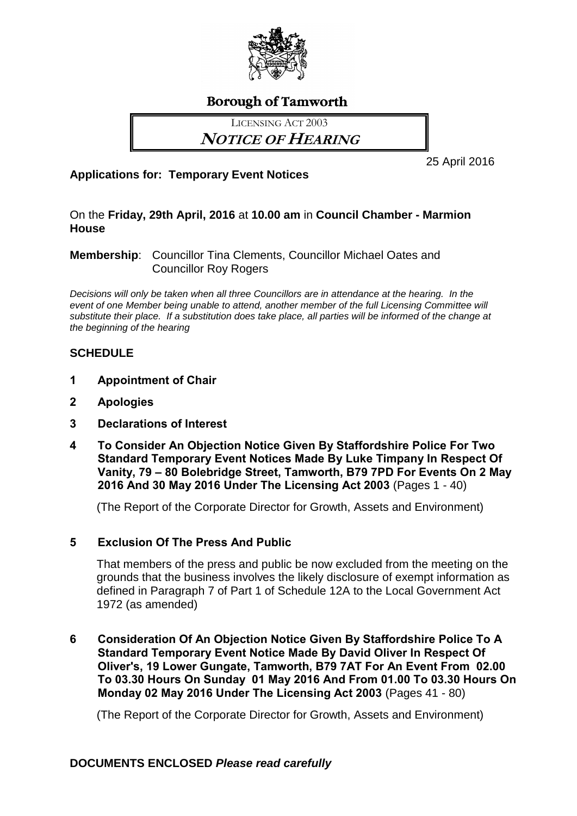

# **Borough of Tamworth**

LICENSING ACT 2003

**NOTICE OF HEARING**

25 April 2016

## **Applications for: Temporary Event Notices**

On the **Friday, 29th April, 2016** at **10.00 am** in **Council Chamber - Marmion House**

## **Membership**: Councillor Tina Clements, Councillor Michael Oates and Councillor Roy Rogers

*Decisions will only be taken when all three Councillors are in attendance at the hearing. In the event of one Member being unable to attend, another member of the full Licensing Committee will substitute their place. If a substitution does take place, all parties will be informed of the change at the beginning of the hearing*

## **SCHEDULE**

- **1 Appointment of Chair**
- **2 Apologies**
- **3 Declarations of Interest**
- **4 To Consider An Objection Notice Given By Staffordshire Police For Two Standard Temporary Event Notices Made By Luke Timpany In Respect Of Vanity, 79 – 80 Bolebridge Street, Tamworth, B79 7PD For Events On 2 May 2016 And 30 May 2016 Under The Licensing Act 2003** (Pages 1 - 40)

(The Report of the Corporate Director for Growth, Assets and Environment)

## **5 Exclusion Of The Press And Public**

That members of the press and public be now excluded from the meeting on the grounds that the business involves the likely disclosure of exempt information as defined in Paragraph 7 of Part 1 of Schedule 12A to the Local Government Act 1972 (as amended)

**6 Consideration Of An Objection Notice Given By Staffordshire Police To A Standard Temporary Event Notice Made By David Oliver In Respect Of Oliver's, 19 Lower Gungate, Tamworth, B79 7AT For An Event From 02.00 To 03.30 Hours On Sunday 01 May 2016 And From 01.00 To 03.30 Hours On Monday 02 May 2016 Under The Licensing Act 2003** (Pages 41 - 80)

(The Report of the Corporate Director for Growth, Assets and Environment)

## **DOCUMENTS ENCLOSED** *Please read carefully*